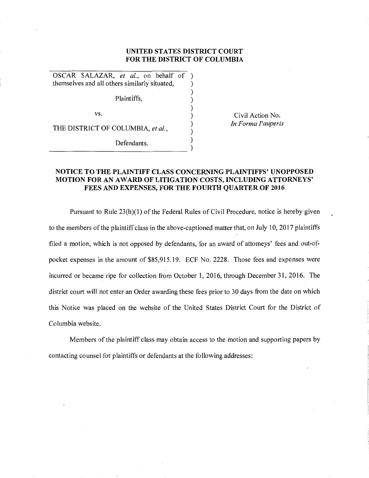## **UNITED STATES DISTRICT COURT FOR THE DISTRICT OF COLUMBIA**

) ) ) ) ) )

OSCAR SALAZAR, *et al.,* on behalf of ) themselves and all others similarly situated, )

Plaintiffs,

vs.

THE DISTRICT OF COLUMBIA, *et al.,* 

 $\bigcup_{n=1}^{\infty}$   $\bigcup_{n=1}^{\infty}$   $\bigcup_{n=1}^{\infty}$ 

Civil Action No. *In Forma Pauperis* 

## **NOTICE TO THE PLAINTIFF CLASS CONCERNING PLAINTIFFS' UNOPPOSED MOTION FOR AN AWARD OF LITIGATION COSTS, INCLUDING ATTORNEYS' FEES AND EXPENSES, FOR THE FOURTH QUARTER OF 2016**

Pursuant to Rule 23(h)(1) of the Federal Rules of Civil Procedure, notice is hereby given to the members of the plaintiff class in the above-captioned matter that, on July 10, 2017 plaintiffs filed a motion, which is not opposed by defendants, for an award of attorneys' fees and out-ofpocket expenses in the amount of \$85,915.19. ECF No. 2228. Those fees and expenses were incurred or became ripe for collection from October 1, 2016, through December 31, 2016. The district court will not enter an Order awarding these fees prior to 30 days from the date on which this Notice was placed on the website of the United States District Court for the District of Columbia website.

Members of the plaintiff class may obtain access to the motion and supporting papers by contacting counsel for plaintiffs or defendants at the following addresses: